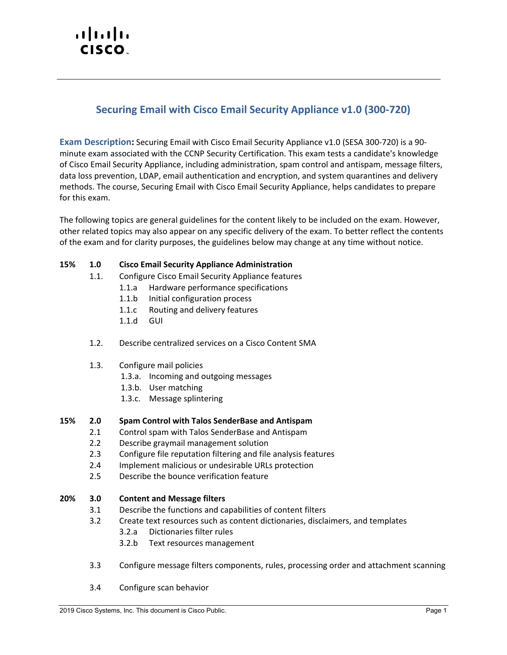# $\mathbf{d}$ **CISCO**

# **Securing Email with Cisco Email Security Appliance v1.0 (300-720)**

**Exam Description:** Securing Email with Cisco Email Security Appliance v1.0 (SESA 300-720) is a 90 minute exam associated with the CCNP Security Certification. This exam tests a candidate's knowledge of Cisco Email Security Appliance, including administration, spam control and antispam, message filters, data loss prevention, LDAP, email authentication and encryption, and system quarantines and delivery methods. The course, Securing Email with Cisco Email Security Appliance, helps candidates to prepare for this exam.

The following topics are general guidelines for the content likely to be included on the exam. However, other related topics may also appear on any specific delivery of the exam. To better reflect the contents of the exam and for clarity purposes, the guidelines below may change at any time without notice.

## **15% 1.0 Cisco Email Security Appliance Administration**

- 1.1. Configure Cisco Email Security Appliance features
	- 1.1.a Hardware performance specifications
	- 1.1.b Initial configuration process
	- 1.1.c Routing and delivery features
	- 1.1.d GUI
- 1.2. Describe centralized services on a Cisco Content SMA
- 1.3. Configure mail policies
	- 1.3.a. Incoming and outgoing messages
	- 1.3.b. User matching
	- 1.3.c. Message splintering

#### **15% 2.0 Spam Control with Talos SenderBase and Antispam**

- 2.1 Control spam with Talos SenderBase and Antispam
	- 2.2 Describe graymail management solution
	- 2.3 Configure file reputation filtering and file analysis features
	- 2.4 Implement malicious or undesirable URLs protection
	- 2.5 Describe the bounce verification feature

#### **20% 3.0 Content and Message filters**

- 3.1 Describe the functions and capabilities of content filters
- 3.2 Create text resources such as content dictionaries, disclaimers, and templates
	- 3.2.a Dictionaries filter rules
	- 3.2.b Text resources management
- 3.3 Configure message filters components, rules, processing order and attachment scanning
- 3.4 Configure scan behavior